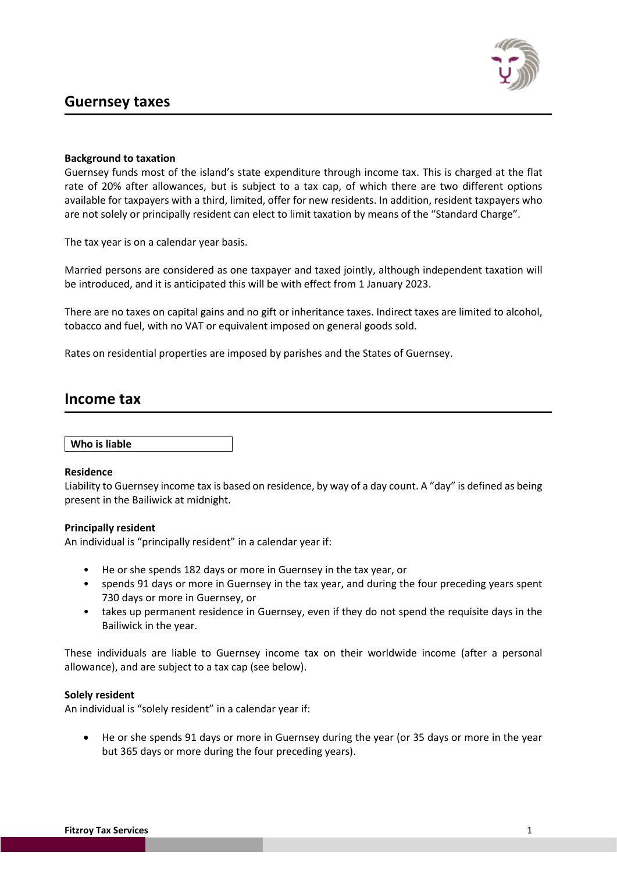# **Guernsey taxes**



# **Background to taxation**

Guernsey funds most of the island's state expenditure through income tax. This is charged at the flat rate of 20% after allowances, but is subject to a tax cap, of which there are two different options available for taxpayers with a third, limited, offer for new residents. In addition, resident taxpayers who are not solely or principally resident can elect to limit taxation by means of the "Standard Charge".

The tax year is on a calendar year basis.

Married persons are considered as one taxpayer and taxed jointly, although independent taxation will be introduced, and it is anticipated this will be with effect from 1 January 2023.

There are no taxes on capital gains and no gift or inheritance taxes. Indirect taxes are limited to alcohol, tobacco and fuel, with no VAT or equivalent imposed on general goods sold.

Rates on residential properties are imposed by parishes and the States of Guernsey.

# **Income tax**

**Who is liable**

# **Residence**

Liability to Guernsey income tax is based on residence, by way of a day count. A "day" is defined as being present in the Bailiwick at midnight.

# **Principally resident**

An individual is "principally resident" in a calendar year if:

- He or she spends 182 days or more in Guernsey in the tax year, or
- spends 91 days or more in Guernsey in the tax year, and during the four preceding years spent 730 days or more in Guernsey, or
- takes up permanent residence in Guernsey, even if they do not spend the requisite days in the Bailiwick in the year.

These individuals are liable to Guernsey income tax on their worldwide income (after a personal allowance), and are subject to a tax cap (see below).

## **Solely resident**

An individual is "solely resident" in a calendar year if:

• He or she spends 91 days or more in Guernsey during the year (or 35 days or more in the year but 365 days or more during the four preceding years).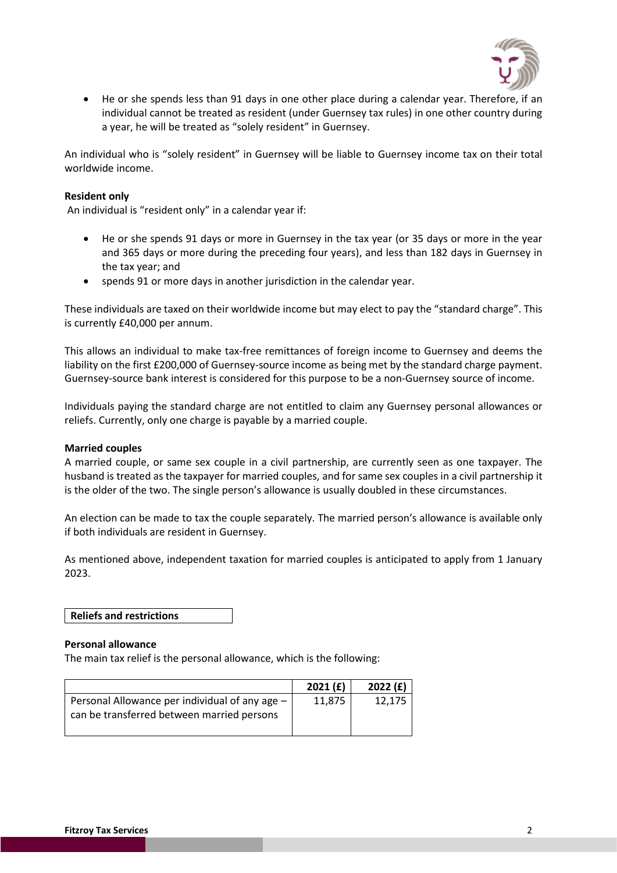

• He or she spends less than 91 days in one other place during a calendar year. Therefore, if an individual cannot be treated as resident (under Guernsey tax rules) in one other country during a year, he will be treated as "solely resident" in Guernsey.

An individual who is "solely resident" in Guernsey will be liable to Guernsey income tax on their total worldwide income.

# **Resident only**

An individual is "resident only" in a calendar year if:

- He or she spends 91 days or more in Guernsey in the tax year (or 35 days or more in the year and 365 days or more during the preceding four years), and less than 182 days in Guernsey in the tax year; and
- spends 91 or more days in another jurisdiction in the calendar year.

These individuals are taxed on their worldwide income but may elect to pay the "standard charge". This is currently £40,000 per annum.

This allows an individual to make tax-free remittances of foreign income to Guernsey and deems the liability on the first £200,000 of Guernsey-source income as being met by the standard charge payment. Guernsey-source bank interest is considered for this purpose to be a non-Guernsey source of income.

Individuals paying the standard charge are not entitled to claim any Guernsey personal allowances or reliefs. Currently, only one charge is payable by a married couple.

## **Married couples**

A married couple, or same sex couple in a civil partnership, are currently seen as one taxpayer. The husband is treated as the taxpayer for married couples, and for same sex couples in a civil partnership it is the older of the two. The single person's allowance is usually doubled in these circumstances.

An election can be made to tax the couple separately. The married person's allowance is available only if both individuals are resident in Guernsey.

As mentioned above, independent taxation for married couples is anticipated to apply from 1 January 2023.

**Reliefs and restrictions** 

#### **Personal allowance**

The main tax relief is the personal allowance, which is the following:

|                                                                                              | 2021(f) | 2022(f) |
|----------------------------------------------------------------------------------------------|---------|---------|
| Personal Allowance per individual of any age -<br>can be transferred between married persons | 11,875  | 12,175  |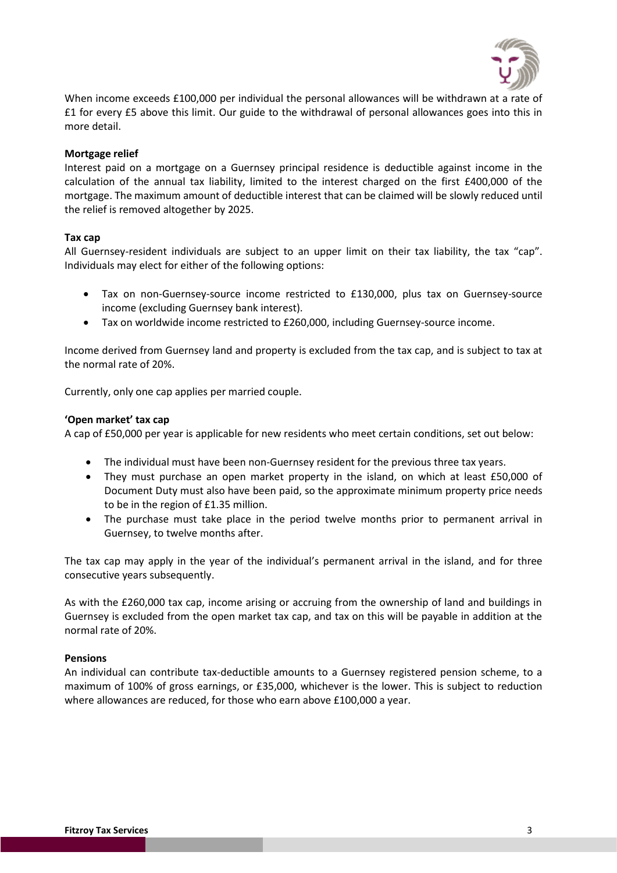

When income exceeds £100,000 per individual the personal allowances will be withdrawn at a rate of £1 for every £5 above this limit. Our guide to the withdrawal of personal allowances goes into this in more detail.

# **Mortgage relief**

Interest paid on a mortgage on a Guernsey principal residence is deductible against income in the calculation of the annual tax liability, limited to the interest charged on the first £400,000 of the mortgage. The maximum amount of deductible interest that can be claimed will be slowly reduced until the relief is removed altogether by 2025.

## **Tax cap**

All Guernsey-resident individuals are subject to an upper limit on their tax liability, the tax "cap". Individuals may elect for either of the following options:

- Tax on non-Guernsey-source income restricted to £130,000, plus tax on Guernsey-source income (excluding Guernsey bank interest).
- Tax on worldwide income restricted to £260,000, including Guernsey-source income.

Income derived from Guernsey land and property is excluded from the tax cap, and is subject to tax at the normal rate of 20%.

Currently, only one cap applies per married couple.

## **'Open market' tax cap**

A cap of £50,000 per year is applicable for new residents who meet certain conditions, set out below:

- The individual must have been non-Guernsey resident for the previous three tax years.
- They must purchase an open market property in the island, on which at least £50,000 of Document Duty must also have been paid, so the approximate minimum property price needs to be in the region of £1.35 million.
- The purchase must take place in the period twelve months prior to permanent arrival in Guernsey, to twelve months after.

The tax cap may apply in the year of the individual's permanent arrival in the island, and for three consecutive years subsequently.

As with the £260,000 tax cap, income arising or accruing from the ownership of land and buildings in Guernsey is excluded from the open market tax cap, and tax on this will be payable in addition at the normal rate of 20%.

## **Pensions**

An individual can contribute tax-deductible amounts to a Guernsey registered pension scheme, to a maximum of 100% of gross earnings, or £35,000, whichever is the lower. This is subject to reduction where allowances are reduced, for those who earn above £100,000 a year.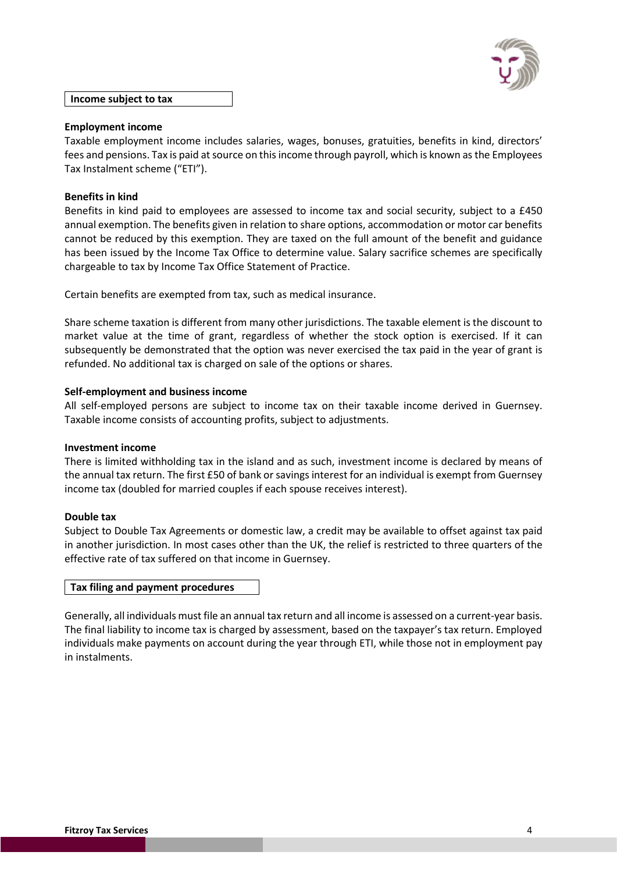

## **Income subject to tax**

# **Employment income**

Taxable employment income includes salaries, wages, bonuses, gratuities, benefits in kind, directors' fees and pensions. Tax is paid at source on this income through payroll, which is known asthe Employees Tax Instalment scheme ("ETI").

## **Benefits in kind**

Benefits in kind paid to employees are assessed to income tax and social security, subject to a £450 annual exemption. The benefits given in relation to share options, accommodation or motor car benefits cannot be reduced by this exemption. They are taxed on the full amount of the benefit and guidance has been issued by the Income Tax Office to determine value. Salary sacrifice schemes are specifically chargeable to tax by Income Tax Office Statement of Practice.

Certain benefits are exempted from tax, such as medical insurance.

Share scheme taxation is different from many other jurisdictions. The taxable element is the discount to market value at the time of grant, regardless of whether the stock option is exercised. If it can subsequently be demonstrated that the option was never exercised the tax paid in the year of grant is refunded. No additional tax is charged on sale of the options or shares.

## **Self-employment and business income**

All self-employed persons are subject to income tax on their taxable income derived in Guernsey. Taxable income consists of accounting profits, subject to adjustments.

## **Investment income**

There is limited withholding tax in the island and as such, investment income is declared by means of the annual tax return. The first £50 of bank or savings interest for an individual is exempt from Guernsey income tax (doubled for married couples if each spouse receives interest).

## **Double tax**

Subject to Double Tax Agreements or domestic law, a credit may be available to offset against tax paid in another jurisdiction. In most cases other than the UK, the relief is restricted to three quarters of the effective rate of tax suffered on that income in Guernsey.

## **Tax filing and payment procedures**

Generally, all individuals must file an annual tax return and all income is assessed on a current-year basis. The final liability to income tax is charged by assessment, based on the taxpayer's tax return. Employed individuals make payments on account during the year through ETI, while those not in employment pay in instalments.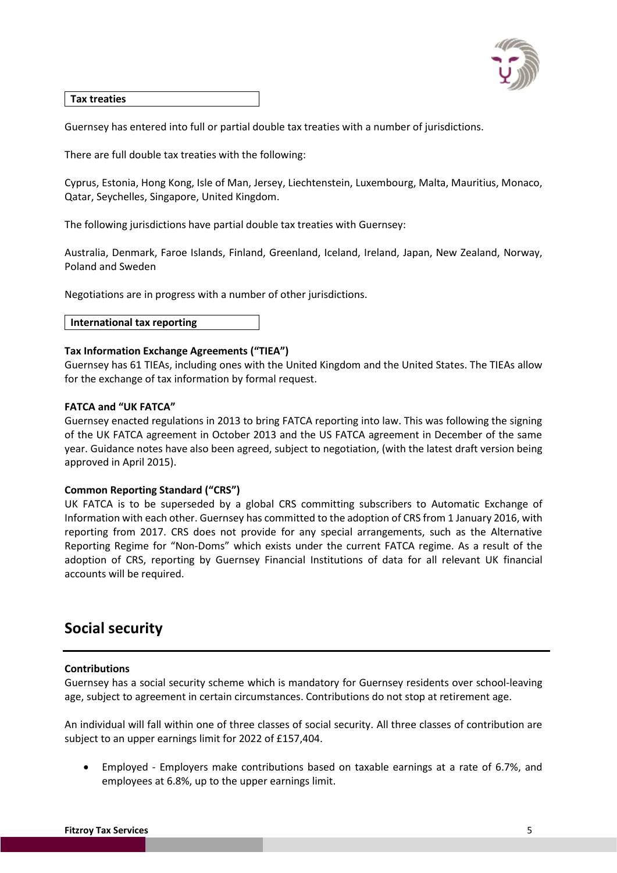

# **Tax treaties**

Guernsey has entered into full or partial double tax treaties with a number of jurisdictions.

There are full double tax treaties with the following:

Cyprus, Estonia, Hong Kong, Isle of Man, Jersey, Liechtenstein, Luxembourg, Malta, Mauritius, Monaco, Qatar, Seychelles, Singapore, United Kingdom.

The following jurisdictions have partial double tax treaties with Guernsey:

Australia, Denmark, Faroe Islands, Finland, Greenland, Iceland, Ireland, Japan, New Zealand, Norway, Poland and Sweden

Negotiations are in progress with a number of other jurisdictions.

**International tax reporting**

# **Tax Information Exchange Agreements ("TIEA")**

Guernsey has 61 TIEAs, including ones with the United Kingdom and the United States. The TIEAs allow for the exchange of tax information by formal request.

# **FATCA and "UK FATCA"**

Guernsey enacted regulations in 2013 to bring FATCA reporting into law. This was following the signing of the UK FATCA agreement in October 2013 and the US FATCA agreement in December of the same year. Guidance notes have also been agreed, subject to negotiation, (with the latest draft version being approved in April 2015).

# **Common Reporting Standard ("CRS")**

UK FATCA is to be superseded by a global CRS committing subscribers to Automatic Exchange of Information with each other. Guernsey has committed to the adoption of CRS from 1 January 2016, with reporting from 2017. CRS does not provide for any special arrangements, such as the Alternative Reporting Regime for "Non-Doms" which exists under the current FATCA regime. As a result of the adoption of CRS, reporting by Guernsey Financial Institutions of data for all relevant UK financial accounts will be required.

# **Social security**

# **Contributions**

Guernsey has a social security scheme which is mandatory for Guernsey residents over school-leaving age, subject to agreement in certain circumstances. Contributions do not stop at retirement age.

An individual will fall within one of three classes of social security. All three classes of contribution are subject to an upper earnings limit for 2022 of £157,404.

• Employed - Employers make contributions based on taxable earnings at a rate of 6.7%, and employees at 6.8%, up to the upper earnings limit.